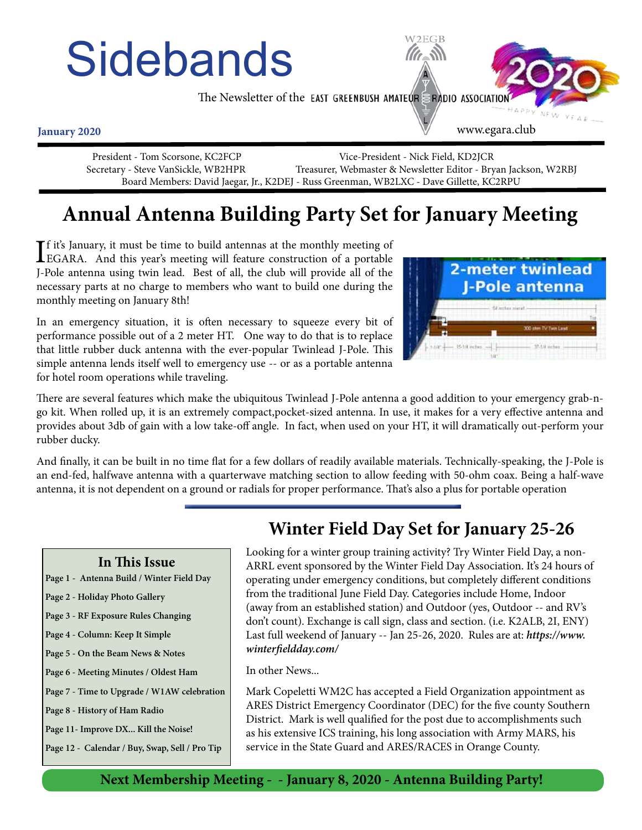# **Sidebands**

The Newsletter of the EAST GREENBUSH AMATEUR ERADIO ASSOCIATIO

**January 2020**

 President - Tom Scorsone, KC2FCP Vice-President - Nick Field, KD2JCR Secretary - Steve VanSickle, WB2HPR Treasurer, Webmaster & Newsletter Editor - Bryan Jackson, W2RBJ Board Members: David Jaegar, Jr., K2DEJ - Russ Greenman, WB2LXC - Dave Gillette, KC2RPU

# **Annual Antenna Building Party Set for January Meeting**

If it's January, it must be time to build antennas at the monthly meeting of EGARA. And this year's meeting will feature construction of a portable **T** fit's January, it must be time to build antennas at the monthly meeting of J-Pole antenna using twin lead. Best of all, the club will provide all of the necessary parts at no charge to members who want to build one during the monthly meeting on January 8th!

In an emergency situation, it is often necessary to squeeze every bit of performance possible out of a 2 meter HT. One way to do that is to replace that little rubber duck antenna with the ever-popular Twinlead J-Pole. This simple antenna lends itself well to emergency use -- or as a portable antenna for hotel room operations while traveling.



www.egara.club

There are several features which make the ubiquitous Twinlead J-Pole antenna a good addition to your emergency grab-ngo kit. When rolled up, it is an extremely compact,pocket-sized antenna. In use, it makes for a very effective antenna and provides about 3db of gain with a low take-off angle. In fact, when used on your HT, it will dramatically out-perform your rubber ducky.

And finally, it can be built in no time flat for a few dollars of readily available materials. Technically-speaking, the J-Pole is an end-fed, halfwave antenna with a quarterwave matching section to allow feeding with 50-ohm coax. Being a half-wave antenna, it is not dependent on a ground or radials for proper performance. That's also a plus for portable operation

#### **In This Issue**

- **Page 1 Antenna Build / Winter Field Day**
- **Page 2 Holiday Photo Gallery**
- **Page 3 RF Exposure Rules Changing**
- **Page 4 Column: Keep It Simple**
- **Page 5 On the Beam News & Notes**
- **Page 6 Meeting Minutes / Oldest Ham**
- **Page 7 Time to Upgrade / W1AW celebration**
- **Page 8 History of Ham Radio**
- **Page 11- Improve DX... Kill the Noise!**
- **Page 12 Calendar / Buy, Swap, Sell / Pro Tip**

### **Winter Field Day Set for January 25-26**

Looking for a winter group training activity? Try Winter Field Day, a non-ARRL event sponsored by the Winter Field Day Association. It's 24 hours of operating under emergency conditions, but completely different conditions from the traditional June Field Day. Categories include Home, Indoor (away from an established station) and Outdoor (yes, Outdoor -- and RV's don't count). Exchange is call sign, class and section. (i.e. K2ALB, 2I, ENY) Last full weekend of January -- Jan 25-26, 2020. Rules are at: *https://www. winterfieldday.com/*

In other News...

Mark Copeletti WM2C has accepted a Field Organization appointment as ARES District Emergency Coordinator (DEC) for the five county Southern District. Mark is well qualified for the post due to accomplishments such as his extensive ICS training, his long association with Army MARS, his service in the State Guard and ARES/RACES in Orange County.

**Next Membership Meeting - - January 8, 2020 - Antenna Building Party!**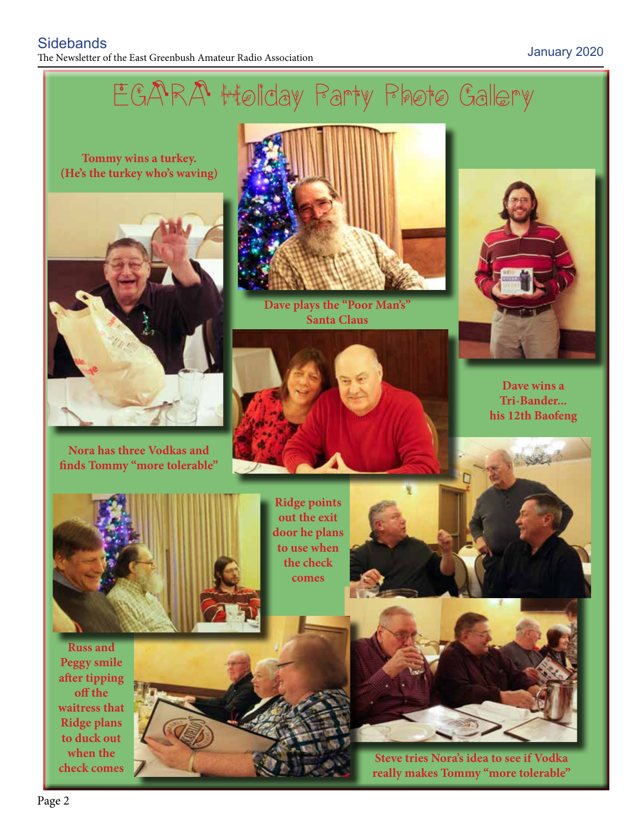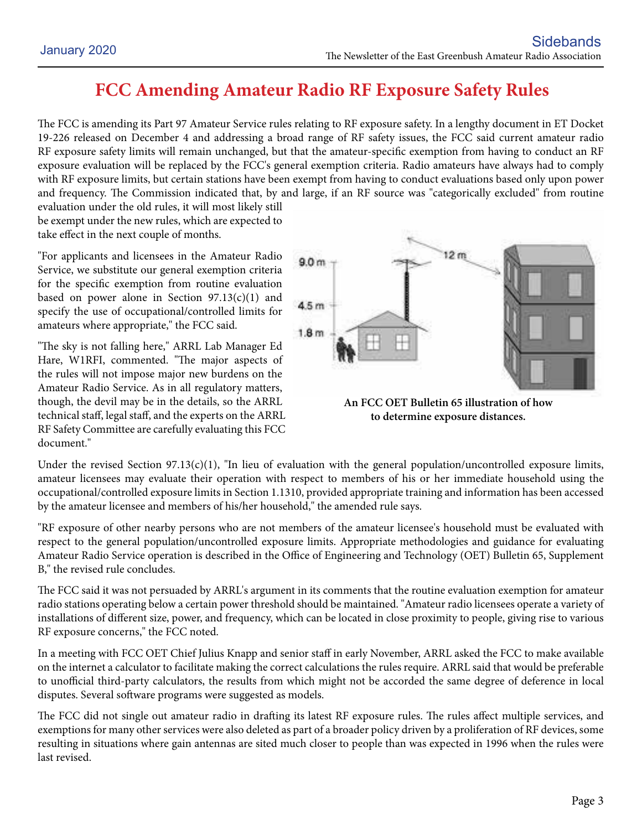# **FCC Amending Amateur Radio RF Exposure Safety Rules**

The FCC is amending its Part 97 Amateur Service rules relating to RF exposure safety. In a lengthy document in ET Docket 19-226 released on December 4 and addressing a broad range of RF safety issues, the FCC said current amateur radio RF exposure safety limits will remain unchanged, but that the amateur-specific exemption from having to conduct an RF exposure evaluation will be replaced by the FCC's general exemption criteria. Radio amateurs have always had to comply with RF exposure limits, but certain stations have been exempt from having to conduct evaluations based only upon power and frequency. The Commission indicated that, by and large, if an RF source was "categorically excluded" from routine evaluation under the old rules, it will most likely still

be exempt under the new rules, which are expected to take effect in the next couple of months.

"For applicants and licensees in the Amateur Radio Service, we substitute our general exemption criteria for the specific exemption from routine evaluation based on power alone in Section  $97.13(c)(1)$  and specify the use of occupational/controlled limits for amateurs where appropriate," the FCC said.

"The sky is not falling here," ARRL Lab Manager Ed Hare, W1RFI, commented. "The major aspects of the rules will not impose major new burdens on the Amateur Radio Service. As in all regulatory matters, though, the devil may be in the details, so the ARRL technical staff, legal staff, and the experts on the ARRL RF Safety Committee are carefully evaluating this FCC document."



**An FCC OET Bulletin 65 illustration of how to determine exposure distances.**

Under the revised Section 97.13(c)(1), "In lieu of evaluation with the general population/uncontrolled exposure limits, amateur licensees may evaluate their operation with respect to members of his or her immediate household using the occupational/controlled exposure limits in Section 1.1310, provided appropriate training and information has been accessed by the amateur licensee and members of his/her household," the amended rule says.

"RF exposure of other nearby persons who are not members of the amateur licensee's household must be evaluated with respect to the general population/uncontrolled exposure limits. Appropriate methodologies and guidance for evaluating Amateur Radio Service operation is described in the Office of Engineering and Technology (OET) Bulletin 65, Supplement B," the revised rule concludes.

The FCC said it was not persuaded by ARRL's argument in its comments that the routine evaluation exemption for amateur radio stations operating below a certain power threshold should be maintained. "Amateur radio licensees operate a variety of installations of different size, power, and frequency, which can be located in close proximity to people, giving rise to various RF exposure concerns," the FCC noted.

In a meeting with FCC OET Chief Julius Knapp and senior staff in early November, ARRL asked the FCC to make available on the internet a calculator to facilitate making the correct calculations the rules require. ARRL said that would be preferable to unofficial third-party calculators, the results from which might not be accorded the same degree of deference in local disputes. Several software programs were suggested as models.

The FCC did not single out amateur radio in drafting its latest RF exposure rules. The rules affect multiple services, and exemptions for many other services were also deleted as part of a broader policy driven by a proliferation of RF devices, some resulting in situations where gain antennas are sited much closer to people than was expected in 1996 when the rules were last revised.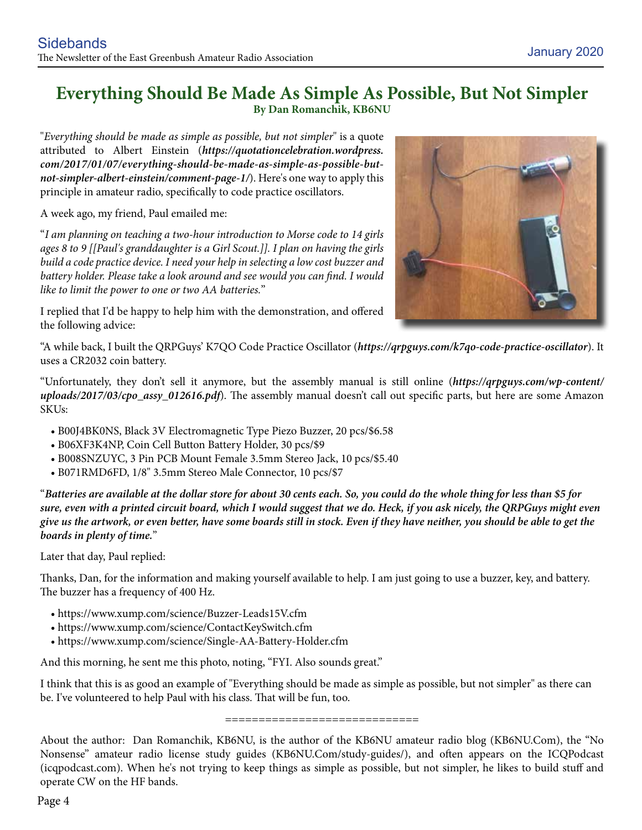#### **Everything Should Be Made As Simple As Possible, But Not Simpler By Dan Romanchik, KB6NU**

"*Everything should be made as simple as possible, but not simpler*" is a quote attributed to Albert Einstein (*https://quotationcelebration.wordpress. com/2017/01/07/everything-should-be-made-as-simple-as-possible-butnot-simpler-albert-einstein/comment-page-1/*). Here's one way to apply this principle in amateur radio, specifically to code practice oscillators.

A week ago, my friend, Paul emailed me:

"*I am planning on teaching a two-hour introduction to Morse code to 14 girls ages 8 to 9 [[Paul's granddaughter is a Girl Scout.]]. I plan on having the girls build a code practice device. I need your help in selecting a low cost buzzer and battery holder. Please take a look around and see would you can find. I would like to limit the power to one or two AA batteries.*"

I replied that I'd be happy to help him with the demonstration, and offered the following advice:



"A while back, I built the QRPGuys' K7QO Code Practice Oscillator (*https://qrpguys.com/k7qo-code-practice-oscillator*). It uses a CR2032 coin battery.

"Unfortunately, they don't sell it anymore, but the assembly manual is still online (*https://qrpguys.com/wp-content/ uploads/2017/03/cpo\_assy\_012616.pdf*). The assembly manual doesn't call out specific parts, but here are some Amazon SKUs:

- B00J4BK0NS, Black 3V Electromagnetic Type Piezo Buzzer, 20 pcs/\$6.58
- B06XF3K4NP, Coin Cell Button Battery Holder, 30 pcs/\$9
- B008SNZUYC, 3 Pin PCB Mount Female 3.5mm Stereo Jack, 10 pcs/\$5.40
- B071RMD6FD, 1/8" 3.5mm Stereo Male Connector, 10 pcs/\$7

"*Batteries are available at the dollar store for about 30 cents each. So, you could do the whole thing for less than \$5 for sure, even with a printed circuit board, which I would suggest that we do. Heck, if you ask nicely, the QRPGuys might even give us the artwork, or even better, have some boards still in stock. Even if they have neither, you should be able to get the boards in plenty of time.*"

Later that day, Paul replied:

Thanks, Dan, for the information and making yourself available to help. I am just going to use a buzzer, key, and battery. The buzzer has a frequency of 400 Hz.

- https://www.xump.com/science/Buzzer-Leads15V.cfm
- https://www.xump.com/science/ContactKeySwitch.cfm
- https://www.xump.com/science/Single-AA-Battery-Holder.cfm

And this morning, he sent me this photo, noting, "FYI. Also sounds great."

I think that this is as good an example of "Everything should be made as simple as possible, but not simpler" as there can be. I've volunteered to help Paul with his class. That will be fun, too.

=============================

About the author: Dan Romanchik, KB6NU, is the author of the KB6NU amateur radio blog (KB6NU.Com), the "No Nonsense" amateur radio license study guides (KB6NU.Com/study-guides/), and often appears on the ICQPodcast (icqpodcast.com). When he's not trying to keep things as simple as possible, but not simpler, he likes to build stuff and operate CW on the HF bands.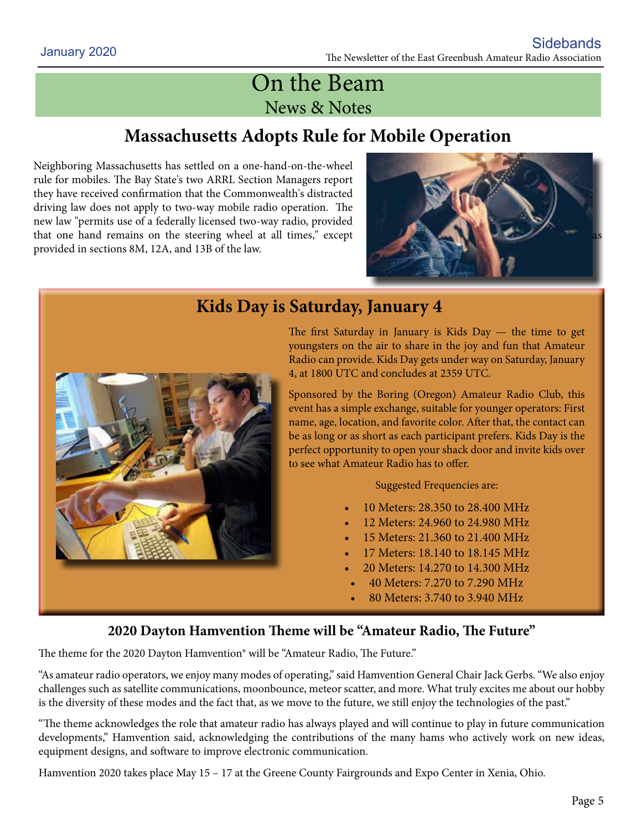# On the Beam News & Notes

# **Massachusetts Adopts Rule for Mobile Operation**

Neighboring Massachusetts has settled on a one-hand-on-the-wheel rule for mobiles. The Bay State's two ARRL Section Managers report they have received confirmation that the Commonwealth's distracted driving law does not apply to two-way mobile radio operation. The new law "permits use of a federally licensed two-way radio, provided that one hand remains on the steering wheel at all times," except provided in sections 8M, 12A, and 13B of the law.





## **Kids Day is Saturday, January 4**

The first Saturday in January is Kids Day — the time to get youngsters on the air to share in the joy and fun that Amateur Radio can provide. Kids Day gets under way on Saturday, January 4, at 1800 UTC and concludes at 2359 UTC.

Sponsored by the Boring (Oregon) Amateur Radio Club, this event has a simple exchange, suitable for younger operators: First name, age, location, and favorite color. After that, the contact can be as long or as short as each participant prefers. Kids Day is the perfect opportunity to open your shack door and invite kids over to see what Amateur Radio has to offer.

Suggested Frequencies are:

- 10 Meters: 28.350 to 28.400 MHz
- 12 Meters: 24.960 to 24.980 MHz
- 15 Meters: 21.360 to 21.400 MHz
- 17 Meters: 18.140 to 18.145 MHz
- 20 Meters: 14.270 to 14.300 MHz
- 40 Meters: 7.270 to 7.290 MHz
- 80 Meters: 3.740 to 3.940 MHz

#### **2020 Dayton Hamvention Theme will be "Amateur Radio, The Future"**

The theme for the 2020 Dayton Hamvention® will be "Amateur Radio, The Future."

"As amateur radio operators, we enjoy many modes of operating," said Hamvention General Chair Jack Gerbs. "We also enjoy challenges such as satellite communications, moonbounce, meteor scatter, and more. What truly excites me about our hobby is the diversity of these modes and the fact that, as we move to the future, we still enjoy the technologies of the past."

"The theme acknowledges the role that amateur radio has always played and will continue to play in future communication developments," Hamvention said, acknowledging the contributions of the many hams who actively work on new ideas, equipment designs, and software to improve electronic communication.

Hamvention 2020 takes place May 15 – 17 at the Greene County Fairgrounds and Expo Center in Xenia, Ohio.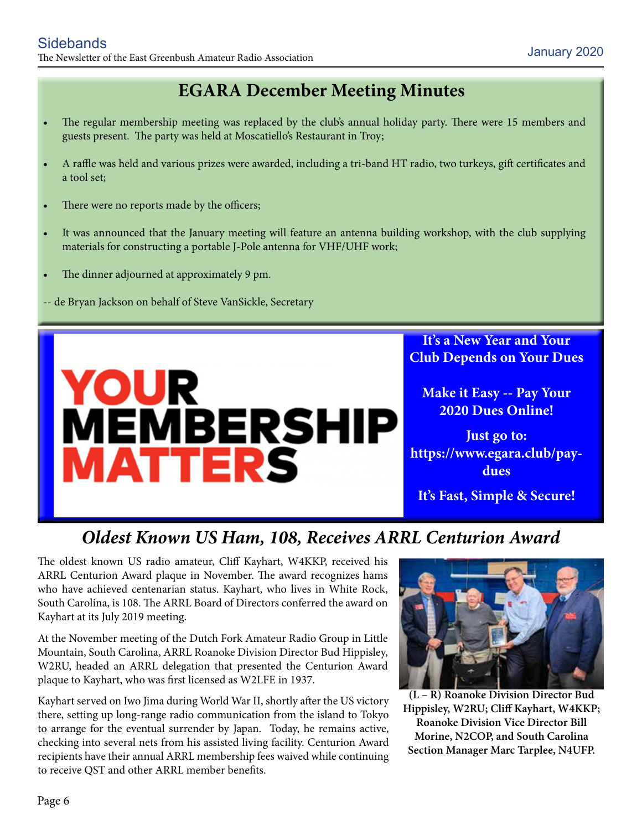# **EGARA December Meeting Minutes**

- The regular membership meeting was replaced by the club's annual holiday party. There were 15 members and guests present. The party was held at Moscatiello's Restaurant in Troy;
- A raffle was held and various prizes were awarded, including a tri-band HT radio, two turkeys, gift certificates and a tool set;
- There were no reports made by the officers;
- It was announced that the January meeting will feature an antenna building workshop, with the club supplying materials for constructing a portable J-Pole antenna for VHF/UHF work;
- The dinner adjourned at approximately 9 pm.
- -- de Bryan Jackson on behalf of Steve VanSickle, Secretary



**It's a New Year and Your Club Depends on Your Dues**

**Make it Easy -- Pay Your 2020 Dues Online!**

**Just go to: https://www.egara.club/paydues**

**It's Fast, Simple & Secure!**

## *Oldest Known US Ham, 108, Receives ARRL Centurion Award*

The oldest known US radio amateur, Cliff Kayhart, W4KKP, received his ARRL Centurion Award plaque in November. The award recognizes hams who have achieved centenarian status. Kayhart, who lives in White Rock, South Carolina, is 108. The ARRL Board of Directors conferred the award on Kayhart at its July 2019 meeting.

At the November meeting of the Dutch Fork Amateur Radio Group in Little Mountain, South Carolina, ARRL Roanoke Division Director Bud Hippisley, W2RU, headed an ARRL delegation that presented the Centurion Award plaque to Kayhart, who was first licensed as W2LFE in 1937.

Kayhart served on Iwo Jima during World War II, shortly after the US victory there, setting up long-range radio communication from the island to Tokyo to arrange for the eventual surrender by Japan. Today, he remains active, checking into several nets from his assisted living facility. Centurion Award recipients have their annual ARRL membership fees waived while continuing to receive QST and other ARRL member benefits.



**(L – R) Roanoke Division Director Bud Hippisley, W2RU; Cliff Kayhart, W4KKP; Roanoke Division Vice Director Bill Morine, N2COP, and South Carolina Section Manager Marc Tarplee, N4UFP.**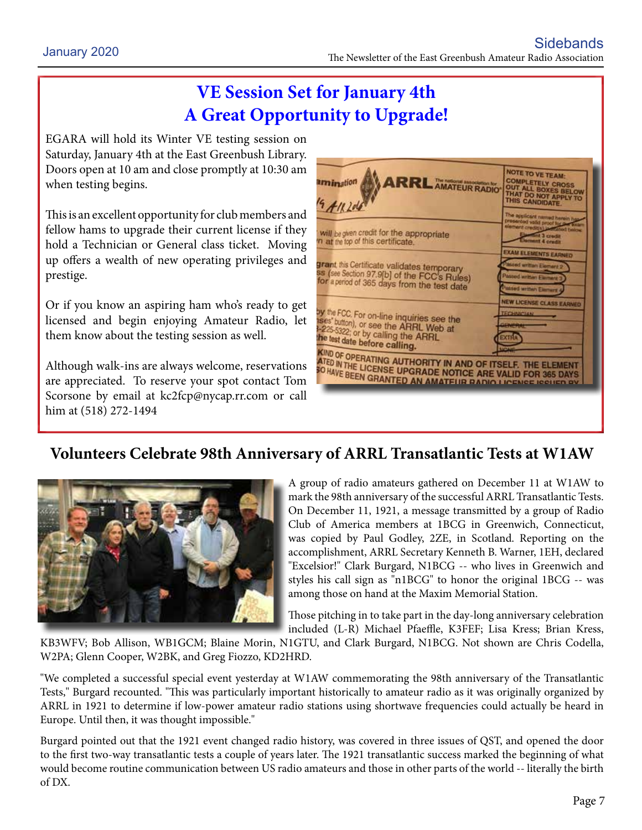# **VE Session Set for January 4th A Great Opportunity to Upgrade!**

EGARA will hold its Winter VE testing session on Saturday, January 4th at the East Greenbush Library. Doors open at 10 am and close promptly at 10:30 am when testing begins.

This is an excellent opportunity for club members and fellow hams to upgrade their current license if they hold a Technician or General class ticket. Moving up offers a wealth of new operating privileges and prestige.

Or if you know an aspiring ham who's ready to get licensed and begin enjoying Amateur Radio, let them know about the testing session as well.

Although walk-ins are always welcome, reservations are appreciated. To reserve your spot contact Tom Scorsone by email at kc2fcp@nycap.rr.com or call him at (518) 272-1494



### **Volunteers Celebrate 98th Anniversary of ARRL Transatlantic Tests at W1AW**



A group of radio amateurs gathered on December 11 at W1AW to mark the 98th anniversary of the successful ARRL Transatlantic Tests. On December 11, 1921, a message transmitted by a group of Radio Club of America members at 1BCG in Greenwich, Connecticut, was copied by Paul Godley, 2ZE, in Scotland. Reporting on the accomplishment, ARRL Secretary Kenneth B. Warner, 1EH, declared "Excelsior!" Clark Burgard, N1BCG -- who lives in Greenwich and styles his call sign as "n1BCG" to honor the original 1BCG -- was among those on hand at the Maxim Memorial Station.

Those pitching in to take part in the day-long anniversary celebration included (L-R) Michael Pfaeffle, K3FEF; Lisa Kress; Brian Kress,

KB3WFV; Bob Allison, WB1GCM; Blaine Morin, N1GTU, and Clark Burgard, N1BCG. Not shown are Chris Codella, W2PA; Glenn Cooper, W2BK, and Greg Fiozzo, KD2HRD.

"We completed a successful special event yesterday at W1AW commemorating the 98th anniversary of the Transatlantic Tests," Burgard recounted. "This was particularly important historically to amateur radio as it was originally organized by ARRL in 1921 to determine if low-power amateur radio stations using shortwave frequencies could actually be heard in Europe. Until then, it was thought impossible."

Burgard pointed out that the 1921 event changed radio history, was covered in three issues of QST, and opened the door to the first two-way transatlantic tests a couple of years later. The 1921 transatlantic success marked the beginning of what would become routine communication between US radio amateurs and those in other parts of the world -- literally the birth of DX.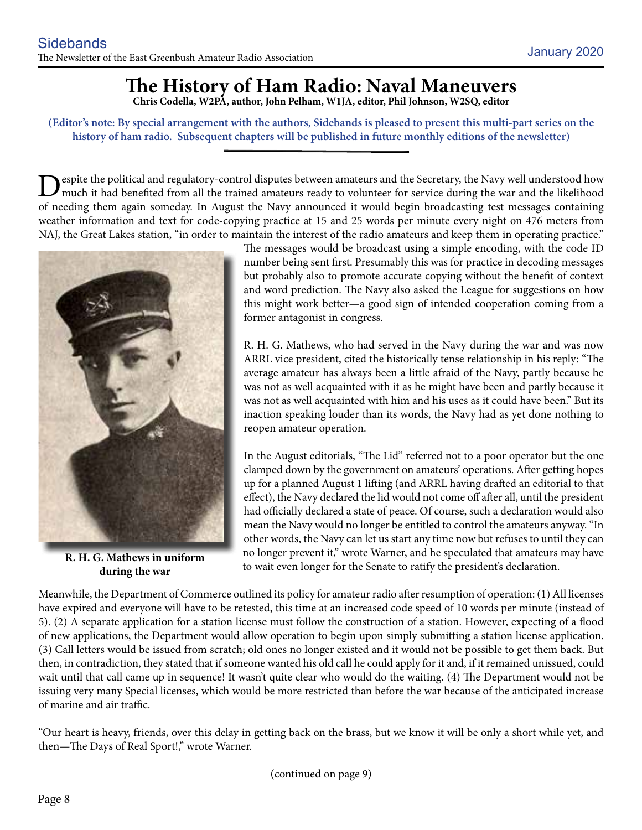# **The History of Ham Radio: Naval Maneuvers**

**Chris Codella, W2PA, author, John Pelham, W1JA, editor, Phil Johnson, W2SQ, editor**

**(Editor's note: By special arrangement with the authors, Sidebands is pleased to present this multi-part series on the history of ham radio. Subsequent chapters will be published in future monthly editions of the newsletter)**

Despite the political and regulatory-control disputes between amateurs and the Secretary, the Navy well understood how<br>much it had benefited from all the trained amateurs ready to volunteer for service during the war and t of needing them again someday. In August the Navy announced it would begin broadcasting test messages containing weather information and text for code-copying practice at 15 and 25 words per minute every night on 476 meters from NAJ, the Great Lakes station, "in order to maintain the interest of the radio amateurs and keep them in operating practice."



**R. H. G. Mathews in uniform during the war**

The messages would be broadcast using a simple encoding, with the code ID number being sent first. Presumably this was for practice in decoding messages but probably also to promote accurate copying without the benefit of context and word prediction. The Navy also asked the League for suggestions on how this might work better—a good sign of intended cooperation coming from a former antagonist in congress.

R. H. G. Mathews, who had served in the Navy during the war and was now ARRL vice president, cited the historically tense relationship in his reply: "The average amateur has always been a little afraid of the Navy, partly because he was not as well acquainted with it as he might have been and partly because it was not as well acquainted with him and his uses as it could have been." But its inaction speaking louder than its words, the Navy had as yet done nothing to reopen amateur operation.

In the August editorials, "The Lid" referred not to a poor operator but the one clamped down by the government on amateurs' operations. After getting hopes up for a planned August 1 lifting (and ARRL having drafted an editorial to that effect), the Navy declared the lid would not come off after all, until the president had officially declared a state of peace. Of course, such a declaration would also mean the Navy would no longer be entitled to control the amateurs anyway. "In other words, the Navy can let us start any time now but refuses to until they can no longer prevent it," wrote Warner, and he speculated that amateurs may have to wait even longer for the Senate to ratify the president's declaration.

Meanwhile, the Department of Commerce outlined its policy for amateur radio after resumption of operation: (1) All licenses have expired and everyone will have to be retested, this time at an increased code speed of 10 words per minute (instead of 5). (2) A separate application for a station license must follow the construction of a station. However, expecting of a flood of new applications, the Department would allow operation to begin upon simply submitting a station license application. (3) Call letters would be issued from scratch; old ones no longer existed and it would not be possible to get them back. But then, in contradiction, they stated that if someone wanted his old call he could apply for it and, if it remained unissued, could wait until that call came up in sequence! It wasn't quite clear who would do the waiting. (4) The Department would not be issuing very many Special licenses, which would be more restricted than before the war because of the anticipated increase of marine and air traffic.

"Our heart is heavy, friends, over this delay in getting back on the brass, but we know it will be only a short while yet, and then—The Days of Real Sport!," wrote Warner.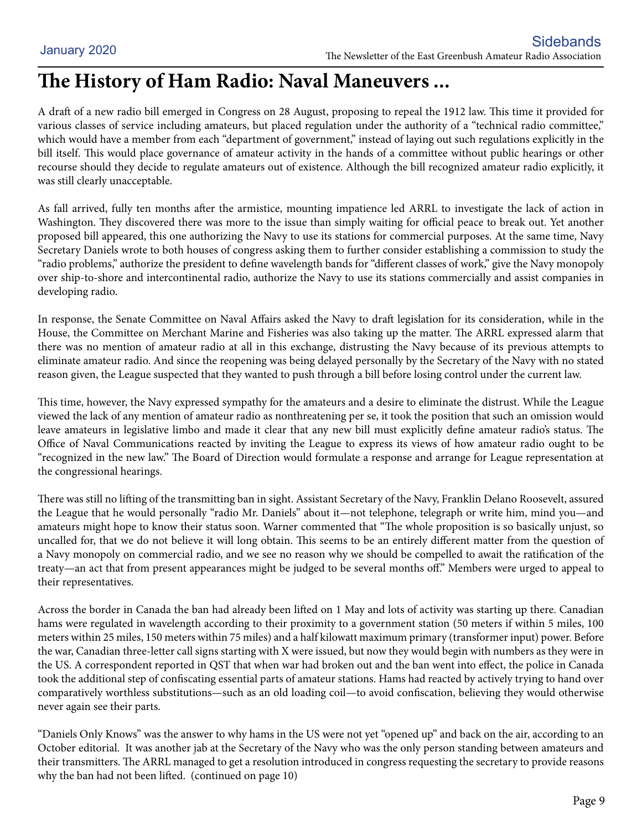# **The History of Ham Radio: Naval Maneuvers ...**

A draft of a new radio bill emerged in Congress on 28 August, proposing to repeal the 1912 law. This time it provided for various classes of service including amateurs, but placed regulation under the authority of a "technical radio committee," which would have a member from each "department of government," instead of laying out such regulations explicitly in the bill itself. This would place governance of amateur activity in the hands of a committee without public hearings or other recourse should they decide to regulate amateurs out of existence. Although the bill recognized amateur radio explicitly, it was still clearly unacceptable.

As fall arrived, fully ten months after the armistice, mounting impatience led ARRL to investigate the lack of action in Washington. They discovered there was more to the issue than simply waiting for official peace to break out. Yet another proposed bill appeared, this one authorizing the Navy to use its stations for commercial purposes. At the same time, Navy Secretary Daniels wrote to both houses of congress asking them to further consider establishing a commission to study the "radio problems," authorize the president to define wavelength bands for "different classes of work," give the Navy monopoly over ship-to-shore and intercontinental radio, authorize the Navy to use its stations commercially and assist companies in developing radio.

In response, the Senate Committee on Naval Affairs asked the Navy to draft legislation for its consideration, while in the House, the Committee on Merchant Marine and Fisheries was also taking up the matter. The ARRL expressed alarm that there was no mention of amateur radio at all in this exchange, distrusting the Navy because of its previous attempts to eliminate amateur radio. And since the reopening was being delayed personally by the Secretary of the Navy with no stated reason given, the League suspected that they wanted to push through a bill before losing control under the current law.

This time, however, the Navy expressed sympathy for the amateurs and a desire to eliminate the distrust. While the League viewed the lack of any mention of amateur radio as nonthreatening per se, it took the position that such an omission would leave amateurs in legislative limbo and made it clear that any new bill must explicitly define amateur radio's status. The Office of Naval Communications reacted by inviting the League to express its views of how amateur radio ought to be "recognized in the new law." The Board of Direction would formulate a response and arrange for League representation at the congressional hearings.

There was still no lifting of the transmitting ban in sight. Assistant Secretary of the Navy, Franklin Delano Roosevelt, assured the League that he would personally "radio Mr. Daniels" about it—not telephone, telegraph or write him, mind you—and amateurs might hope to know their status soon. Warner commented that "The whole proposition is so basically unjust, so uncalled for, that we do not believe it will long obtain. This seems to be an entirely different matter from the question of a Navy monopoly on commercial radio, and we see no reason why we should be compelled to await the ratification of the treaty—an act that from present appearances might be judged to be several months off." Members were urged to appeal to their representatives.

Across the border in Canada the ban had already been lifted on 1 May and lots of activity was starting up there. Canadian hams were regulated in wavelength according to their proximity to a government station (50 meters if within 5 miles, 100 meters within 25 miles, 150 meters within 75 miles) and a half kilowatt maximum primary (transformer input) power. Before the war, Canadian three-letter call signs starting with X were issued, but now they would begin with numbers as they were in the US. A correspondent reported in QST that when war had broken out and the ban went into effect, the police in Canada took the additional step of confiscating essential parts of amateur stations. Hams had reacted by actively trying to hand over comparatively worthless substitutions—such as an old loading coil—to avoid confiscation, believing they would otherwise never again see their parts.

"Daniels Only Knows" was the answer to why hams in the US were not yet "opened up" and back on the air, according to an October editorial. It was another jab at the Secretary of the Navy who was the only person standing between amateurs and their transmitters. The ARRL managed to get a resolution introduced in congress requesting the secretary to provide reasons why the ban had not been lifted. (continued on page 10)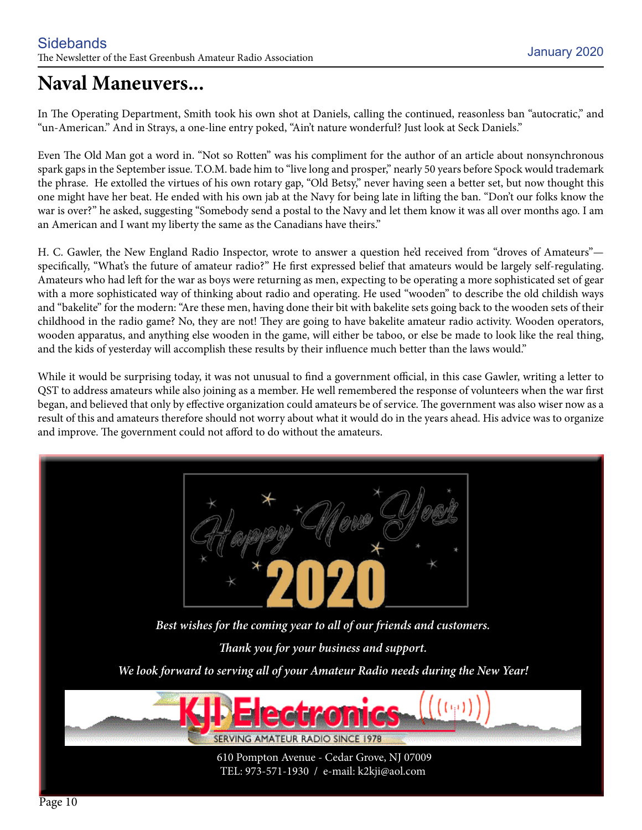# **Naval Maneuvers...**

In The Operating Department, Smith took his own shot at Daniels, calling the continued, reasonless ban "autocratic," and "un-American." And in Strays, a one-line entry poked, "Ain't nature wonderful? Just look at Seck Daniels."

Even The Old Man got a word in. "Not so Rotten" was his compliment for the author of an article about nonsynchronous spark gaps in the September issue. T.O.M. bade him to "live long and prosper," nearly 50 years before Spock would trademark the phrase. He extolled the virtues of his own rotary gap, "Old Betsy," never having seen a better set, but now thought this one might have her beat. He ended with his own jab at the Navy for being late in lifting the ban. "Don't our folks know the war is over?" he asked, suggesting "Somebody send a postal to the Navy and let them know it was all over months ago. I am an American and I want my liberty the same as the Canadians have theirs."

H. C. Gawler, the New England Radio Inspector, wrote to answer a question he'd received from "droves of Amateurs" specifically, "What's the future of amateur radio?" He first expressed belief that amateurs would be largely self-regulating. Amateurs who had left for the war as boys were returning as men, expecting to be operating a more sophisticated set of gear with a more sophisticated way of thinking about radio and operating. He used "wooden" to describe the old childish ways and "bakelite" for the modern: "Are these men, having done their bit with bakelite sets going back to the wooden sets of their childhood in the radio game? No, they are not! They are going to have bakelite amateur radio activity. Wooden operators, wooden apparatus, and anything else wooden in the game, will either be taboo, or else be made to look like the real thing, and the kids of yesterday will accomplish these results by their influence much better than the laws would."

While it would be surprising today, it was not unusual to find a government official, in this case Gawler, writing a letter to QST to address amateurs while also joining as a member. He well remembered the response of volunteers when the war first began, and believed that only by effective organization could amateurs be of service. The government was also wiser now as a result of this and amateurs therefore should not worry about what it would do in the years ahead. His advice was to organize and improve. The government could not afford to do without the amateurs.

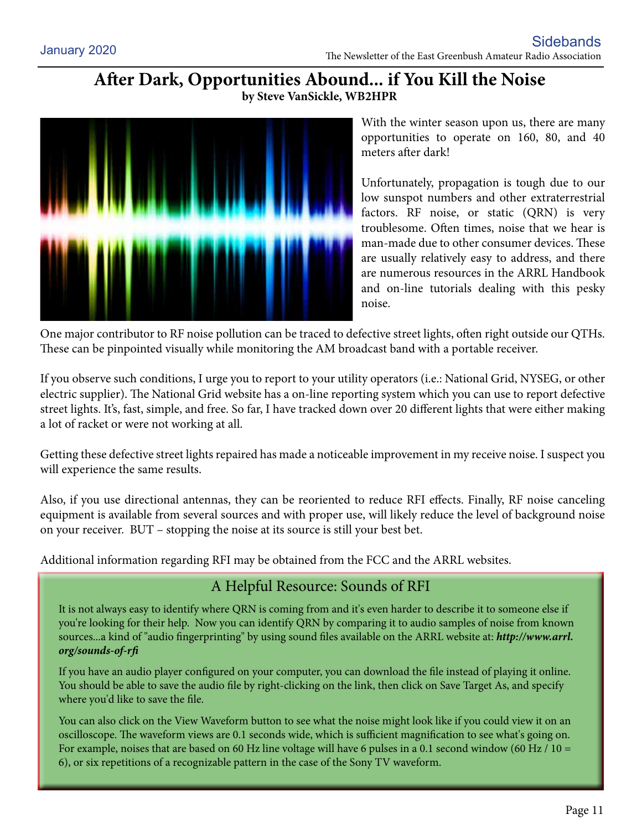#### **After Dark, Opportunities Abound... if You Kill the Noise by Steve VanSickle, WB2HPR**



With the winter season upon us, there are many opportunities to operate on 160, 80, and 40 meters after dark!

Unfortunately, propagation is tough due to our low sunspot numbers and other extraterrestrial factors. RF noise, or static (QRN) is very troublesome. Often times, noise that we hear is man-made due to other consumer devices. These are usually relatively easy to address, and there are numerous resources in the ARRL Handbook and on-line tutorials dealing with this pesky noise.

One major contributor to RF noise pollution can be traced to defective street lights, often right outside our QTHs. These can be pinpointed visually while monitoring the AM broadcast band with a portable receiver.

If you observe such conditions, I urge you to report to your utility operators (i.e.: National Grid, NYSEG, or other electric supplier). The National Grid website has a on-line reporting system which you can use to report defective street lights. It's, fast, simple, and free. So far, I have tracked down over 20 different lights that were either making a lot of racket or were not working at all.

Getting these defective street lights repaired has made a noticeable improvement in my receive noise. I suspect you will experience the same results.

Also, if you use directional antennas, they can be reoriented to reduce RFI effects. Finally, RF noise canceling equipment is available from several sources and with proper use, will likely reduce the level of background noise on your receiver. BUT – stopping the noise at its source is still your best bet.

Additional information regarding RFI may be obtained from the FCC and the ARRL websites.

#### A Helpful Resource: Sounds of RFI

It is not always easy to identify where QRN is coming from and it's even harder to describe it to someone else if you're looking for their help. Now you can identify QRN by comparing it to audio samples of noise from known sources...a kind of "audio fingerprinting" by using sound files available on the ARRL website at: *http://www.arrl. org/sounds-of-rfi*

If you have an audio player configured on your computer, you can download the file instead of playing it online. You should be able to save the audio file by right-clicking on the link, then click on Save Target As, and specify where you'd like to save the file.

You can also click on the View Waveform button to see what the noise might look like if you could view it on an oscilloscope. The waveform views are 0.1 seconds wide, which is sufficient magnification to see what's going on. For example, noises that are based on 60 Hz line voltage will have 6 pulses in a 0.1 second window (60 Hz / 10 = 6), or six repetitions of a recognizable pattern in the case of the Sony TV waveform.